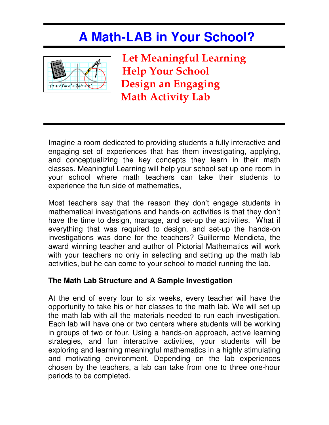## **A Math-LAB in Your School?**



Let Meaningful Learning Help Your School  $\sum_{(a+b)^2=a^2+2ab+b^2}$  Design an Engaging Math Activity Lab

Imagine a room dedicated to providing students a fully interactive and engaging set of experiences that has them investigating, applying, and conceptualizing the key concepts they learn in their math classes. Meaningful Learning will help your school set up one room in your school where math teachers can take their students to experience the fun side of mathematics,

Most teachers say that the reason they don't engage students in mathematical investigations and hands-on activities is that they don't have the time to design, manage, and set-up the activities. What if everything that was required to design, and set-up the hands-on investigations was done for the teachers? Guillermo Mendieta, the award winning teacher and author of Pictorial Mathematics will work with your teachers no only in selecting and setting up the math lab activities, but he can come to your school to model running the lab.

## **The Math Lab Structure and A Sample Investigation**

At the end of every four to six weeks, every teacher will have the opportunity to take his or her classes to the math lab. We will set up the math lab with all the materials needed to run each investigation. Each lab will have one or two centers where students will be working in groups of two or four. Using a hands-on approach, active learning strategies, and fun interactive activities, your students will be exploring and learning meaningful mathematics in a highly stimulating and motivating environment. Depending on the lab experiences chosen by the teachers, a lab can take from one to three one-hour periods to be completed.